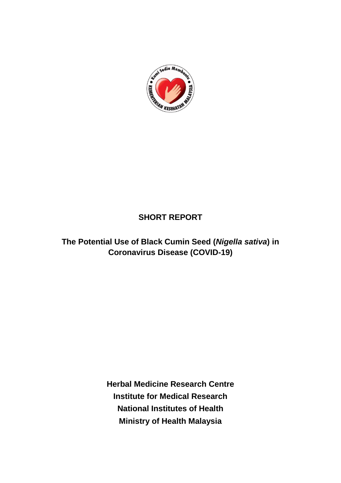

# **SHORT REPORT**

**The Potential Use of Black Cumin Seed (***Nigella sativa***) in Coronavirus Disease (COVID-19)**

> **Herbal Medicine Research Centre Institute for Medical Research National Institutes of Health Ministry of Health Malaysia**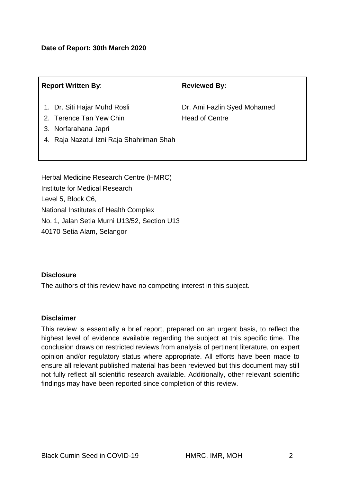| <b>Report Written By:</b>                                                                                                   | <b>Reviewed By:</b>                                  |
|-----------------------------------------------------------------------------------------------------------------------------|------------------------------------------------------|
| 1. Dr. Siti Hajar Muhd Rosli<br>2. Terence Tan Yew Chin<br>3. Norfarahana Japri<br>4. Raja Nazatul Izni Raja Shahriman Shah | Dr. Ami Fazlin Syed Mohamed<br><b>Head of Centre</b> |

Herbal Medicine Research Centre (HMRC) Institute for Medical Research Level 5, Block C6, National Institutes of Health Complex No. 1, Jalan Setia Murni U13/52, Section U13 40170 Setia Alam, Selangor

### **Disclosure**

The authors of this review have no competing interest in this subject.

### **Disclaimer**

This review is essentially a brief report, prepared on an urgent basis, to reflect the highest level of evidence available regarding the subject at this specific time. The conclusion draws on restricted reviews from analysis of pertinent literature, on expert opinion and/or regulatory status where appropriate. All efforts have been made to ensure all relevant published material has been reviewed but this document may still not fully reflect all scientific research available. Additionally, other relevant scientific findings may have been reported since completion of this review.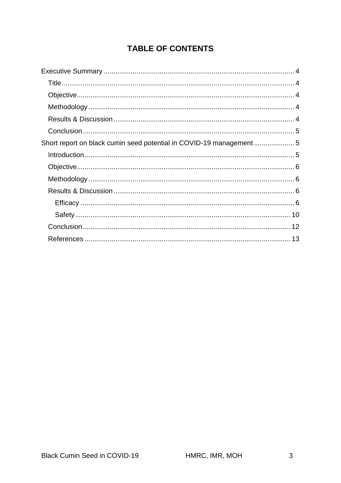# **TABLE OF CONTENTS**

| Short report on black cumin seed potential in COVID-19 management |  |
|-------------------------------------------------------------------|--|
|                                                                   |  |
|                                                                   |  |
|                                                                   |  |
|                                                                   |  |
|                                                                   |  |
|                                                                   |  |
|                                                                   |  |
|                                                                   |  |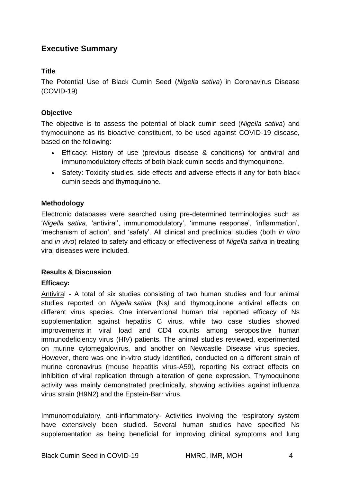### <span id="page-3-0"></span>**Executive Summary**

### <span id="page-3-1"></span>**Title**

The Potential Use of Black Cumin Seed (*Nigella sativa*) in Coronavirus Disease (COVID-19)

### <span id="page-3-2"></span>**Objective**

The objective is to assess the potential of black cumin seed (*Nigella sativa*) and thymoquinone as its bioactive constituent, to be used against COVID-19 disease, based on the following:

- Efficacy: History of use (previous disease & conditions) for antiviral and immunomodulatory effects of both black cumin seeds and thymoquinone.
- Safety: Toxicity studies, side effects and adverse effects if any for both black cumin seeds and thymoquinone.

### <span id="page-3-3"></span>**Methodology**

Electronic databases were searched using pre-determined terminologies such as '*Nigella sativa*, 'antiviral', immunomodulatory', 'immune response', 'inflammation', 'mechanism of action', and 'safety'. All clinical and preclinical studies (both *in vitro*  and *in vivo*) related to safety and efficacy or effectiveness of *Nigella sativa* in treating viral diseases were included.

### <span id="page-3-4"></span>**Results & Discussion**

### **Efficacy:**

Antiviral - A total of six studies consisting of two human studies and four animal studies reported on *Nigella sativa* (Ns*)* and thymoquinone antiviral effects on different virus species. One interventional human trial reported efficacy of Ns supplementation against hepatitis C virus, while two case studies showed improvements in viral load and CD4 counts among seropositive human immunodeficiency virus (HIV) patients. The animal studies reviewed, experimented on murine cytomegalovirus, and another on Newcastle Disease virus species. However, there was one in-vitro study identified, conducted on a different strain of murine coronavirus (mouse hepatitis virus-A59), reporting Ns extract effects on inhibition of viral replication through alteration of gene expression. Thymoquinone activity was mainly demonstrated preclinically, showing activities against influenza virus strain (H9N2) and the Epstein-Barr virus.

Immunomodulatory, anti-inflammatory- Activities involving the respiratory system have extensively been studied. Several human studies have specified Ns supplementation as being beneficial for improving clinical symptoms and lung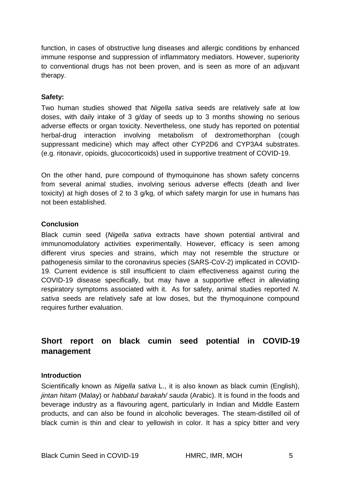function, in cases of obstructive lung diseases and allergic conditions by enhanced immune response and suppression of inflammatory mediators. However, superiority to conventional drugs has not been proven, and is seen as more of an adjuvant therapy.

### **Safety:**

Two human studies showed that *Nigella sativa* seeds are relatively safe at low doses, with daily intake of 3 g/day of seeds up to 3 months showing no serious adverse effects or organ toxicity. Nevertheless, one study has reported on potential herbal-drug interaction involving metabolism of dextromethorphan (cough suppressant medicine) which may affect other CYP2D6 and CYP3A4 substrates. (e.g. ritonavir, opioids, glucocorticoids) used in supportive treatment of COVID-19.

On the other hand, pure compound of thymoquinone has shown safety concerns from several animal studies, involving serious adverse effects (death and liver toxicity) at high doses of 2 to 3 g/kg, of which safety margin for use in humans has not been established.

### <span id="page-4-0"></span>**Conclusion**

Black cumin seed (*Nigella sativa* extracts have shown potential antiviral and immunomodulatory activities experimentally. However, efficacy is seen among different virus species and strains, which may not resemble the structure or pathogenesis similar to the coronavirus species (SARS-CoV-2) implicated in COVID-19. Current evidence is still insufficient to claim effectiveness against curing the COVID-19 disease specifically, but may have a supportive effect in alleviating respiratory symptoms associated with it. As for safety, animal studies reported *N. sativa* seeds are relatively safe at low doses, but the thymoquinone compound requires further evaluation.

## <span id="page-4-1"></span>**Short report on black cumin seed potential in COVID-19 management**

### <span id="page-4-2"></span>**Introduction**

Scientifically known as *Nigella sativa* L., it is also known as black cumin (English), *jintan hitam* (Malay) or *habbatul barakah/ sauda* (Arabic). It is found in the foods and beverage industry as a flavouring agent, particularly in Indian and Middle Eastern products, and can also be found in alcoholic beverages. The steam-distilled oil of black cumin is thin and clear to yellowish in color. It has a spicy bitter and very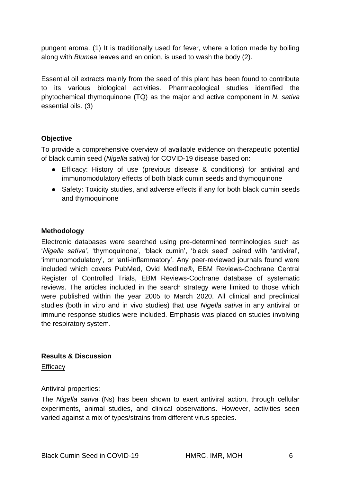pungent aroma. (1) It is traditionally used for fever, where a lotion made by boiling along with *Blumea* leaves and an onion, is used to wash the body (2).

Essential oil extracts mainly from the seed of this plant has been found to contribute to its various biological activities. Pharmacological studies identified the phytochemical thymoquinone (TQ) as the major and active component in *N. sativa* essential oils. (3)

### <span id="page-5-0"></span>**Objective**

To provide a comprehensive overview of available evidence on therapeutic potential of black cumin seed (*Nigella sativa*) for COVID-19 disease based on:

- Efficacy: History of use (previous disease & conditions) for antiviral and immunomodulatory effects of both black cumin seeds and thymoquinone
- Safety: Toxicity studies, and adverse effects if any for both black cumin seeds and thymoquinone

### <span id="page-5-1"></span>**Methodology**

Electronic databases were searched using pre-determined terminologies such as '*Nigella sativa'*, 'thymoquinone', 'black cumin', 'black seed' paired with 'antiviral', 'immunomodulatory', or 'anti-inflammatory'. Any peer-reviewed journals found were included which covers PubMed, Ovid Medline®, EBM Reviews-Cochrane Central Register of Controlled Trials, EBM Reviews-Cochrane database of systematic reviews. The articles included in the search strategy were limited to those which were published within the year 2005 to March 2020. All clinical and preclinical studies (both in vitro and in vivo studies) that use *Nigella sativa* in any antiviral or immune response studies were included. Emphasis was placed on studies involving the respiratory system.

### <span id="page-5-2"></span>**Results & Discussion**

<span id="page-5-3"></span>Efficacy

### Antiviral properties:

The *Nigella sativa* (Ns) has been shown to exert antiviral action, through cellular experiments, animal studies, and clinical observations. However, activities seen varied against a mix of types/strains from different virus species.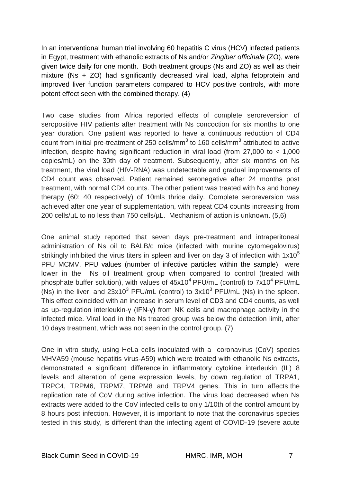In an interventional human trial involving 60 hepatitis C virus (HCV) infected patients in Egypt, treatment with ethanolic extracts of Ns and/or *Zingiber officinale* (ZO), were given twice daily for one month. Both treatment groups (Ns and ZO) as well as their mixture (Ns + ZO) had significantly decreased viral load, alpha fetoprotein and improved liver function parameters compared to HCV positive controls, with more potent effect seen with the combined therapy. (4)

Two case studies from Africa reported effects of complete seroreversion of seropositive HIV patients after treatment with Ns concoction for six months to one year duration. One patient was reported to have a continuous reduction of CD4 count from initial pre-treatment of 250 cells/mm<sup>3</sup> to 160 cells/mm<sup>3</sup> attributed to active infection, despite having significant reduction in viral load (from 27,000 to < 1,000 copies/mL) on the 30th day of treatment. Subsequently, after six months on Ns treatment, the viral load (HIV-RNA) was undetectable and gradual improvements of CD4 count was observed. Patient remained seronegative after 24 months post treatment, with normal CD4 counts. The other patient was treated with Ns and honey therapy (60: 40 respectively) of 10mls thrice daily. Complete seroreversion was achieved after one year of supplementation, with repeat CD4 counts increasing from 200 cells/µL to no less than 750 cells/µL. Mechanism of action is unknown. (5,6)

One animal study reported that seven days pre-treatment and intraperitoneal administration of Ns oil to BALB/c mice (infected with murine cytomegalovirus) strikingly inhibited the virus titers in spleen and liver on day 3 of infection with  $1x10<sup>5</sup>$ PFU MCMV. PFU values (number of infective particles within the sample) were lower in the Ns oil treatment group when compared to control (treated with phosphate buffer solution), with values of  $45x10^4$  PFU/mL (control) to  $7x10^4$  PFU/mL (Ns) in the liver, and  $23x10^3$  PFU/mL (control) to  $3x10^3$  PFU/mL (Ns) in the spleen. This effect coincided with an increase in serum level of CD3 and CD4 counts, as well as up-regulation interleukin-γ (IFN-γ) from NK cells and macrophage activity in the infected mice. Viral load in the Ns treated group was below the detection limit, after 10 days treatment, which was not seen in the control group. (7)

One in vitro study, using HeLa cells inoculated with a coronavirus (CoV) species MHVA59 (mouse hepatitis virus-A59) which were treated with ethanolic Ns extracts, demonstrated a significant difference in inflammatory cytokine interleukin (IL) 8 levels and alteration of gene expression levels, by down regulation of TRPA1, TRPC4, TRPM6, TRPM7, TRPM8 and TRPV4 genes. This in turn affects the replication rate of CoV during active infection. The virus load decreased when Ns extracts were added to the CoV infected cells to only 1/10th of the control amount by 8 hours post infection. However, it is important to note that the coronavirus species tested in this study, is different than the infecting agent of COVID-19 (severe acute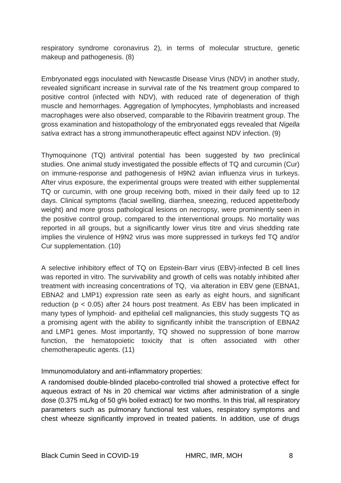respiratory syndrome coronavirus 2), in terms of molecular structure, genetic makeup and pathogenesis. (8)

Embryonated eggs inoculated with Newcastle Disease Virus (NDV) in another study, revealed significant increase in survival rate of the Ns treatment group compared to positive control (infected with NDV), with reduced rate of degeneration of thigh muscle and hemorrhages. Aggregation of lymphocytes, lymphoblasts and increased macrophages were also observed, comparable to the Ribavirin treatment group. The gross examination and histopathology of the embryonated eggs revealed that *Nigella sativa* extract has a strong immunotherapeutic effect against NDV infection. (9)

Thymoquinone (TQ) antiviral potential has been suggested by two preclinical studies. One animal study investigated the possible effects of TQ and curcumin (Cur) on immune-response and pathogenesis of H9N2 avian influenza virus in turkeys. After virus exposure, the experimental groups were treated with either supplemental TQ or curcumin, with one group receiving both, mixed in their daily feed up to 12 days. Clinical symptoms (facial swelling, diarrhea, sneezing, reduced appetite/body weight) and more gross pathological lesions on necropsy, were prominently seen in the positive control group, compared to the interventional groups. No mortality was reported in all groups, but a significantly lower virus titre and virus shedding rate implies the virulence of H9N2 virus was more suppressed in turkeys fed TQ and/or Cur supplementation. (10)

A selective inhibitory effect of TQ on Epstein-Barr virus (EBV)-infected B cell lines was reported in vitro. The survivability and growth of cells was notably inhibited after treatment with increasing concentrations of TQ, via alteration in EBV gene (EBNA1, EBNA2 and LMP1) expression rate seen as early as eight hours, and significant reduction (p < 0.05) after 24 hours post treatment. As EBV has been implicated in many types of lymphoid- and epithelial cell malignancies, this study suggests TQ as a promising agent with the ability to significantly inhibit the transcription of EBNA2 and LMP1 genes. Most importantly, TQ showed no suppression of bone marrow function, the hematopoietic toxicity that is often associated with other chemotherapeutic agents. (11)

Immunomodulatory and anti-inflammatory properties:

A randomised double-blinded placebo-controlled trial showed a protective effect for aqueous extract of Ns in 20 chemical war victims after administration of a single dose (0.375 mL/kg of 50 g% boiled extract) for two months. In this trial, all respiratory parameters such as pulmonary functional test values, respiratory symptoms and chest wheeze significantly improved in treated patients. In addition, use of drugs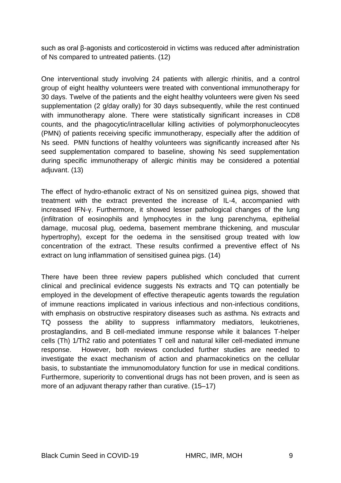such as oral β-agonists and corticosteroid in victims was reduced after administration of Ns compared to untreated patients. (12)

One interventional study involving 24 patients with allergic rhinitis, and a control group of eight healthy volunteers were treated with conventional immunotherapy for 30 days. Twelve of the patients and the eight healthy volunteers were given Ns seed supplementation (2 g/day orally) for 30 days subsequently, while the rest continued with immunotherapy alone. There were statistically significant increases in CD8 counts, and the phagocytic/intracellular killing activities of polymorphonucleocytes (PMN) of patients receiving specific immunotherapy, especially after the addition of Ns seed. PMN functions of healthy volunteers was significantly increased after Ns seed supplementation compared to baseline, showing Ns seed supplementation during specific immunotherapy of allergic rhinitis may be considered a potential adjuvant. (13)

The effect of hydro-ethanolic extract of Ns on sensitized guinea pigs, showed that treatment with the extract prevented the increase of IL-4, accompanied with increased IFN-γ. Furthermore, it showed lesser pathological changes of the lung (infiltration of eosinophils and lymphocytes in the lung parenchyma, epithelial damage, mucosal plug, oedema, basement membrane thickening, and muscular hypertrophy), except for the oedema in the sensitised group treated with low concentration of the extract. These results confirmed a preventive effect of Ns extract on lung inflammation of sensitised guinea pigs. (14)

There have been three review papers published which concluded that current clinical and preclinical evidence suggests Ns extracts and TQ can potentially be employed in the development of effective therapeutic agents towards the regulation of immune reactions implicated in various infectious and non-infectious conditions, with emphasis on obstructive respiratory diseases such as asthma. Ns extracts and TQ possess the ability to suppress inflammatory mediators, leukotrienes, prostaglandins, and B cell-mediated immune response while it balances T-helper cells (Th) 1/Th2 ratio and potentiates T cell and natural killer cell-mediated immune response. However, both reviews concluded further studies are needed to investigate the exact mechanism of action and pharmacokinetics on the cellular basis, to substantiate the immunomodulatory function for use in medical conditions. Furthermore, superiority to conventional drugs has not been proven, and is seen as more of an adjuvant therapy rather than curative. (15–17)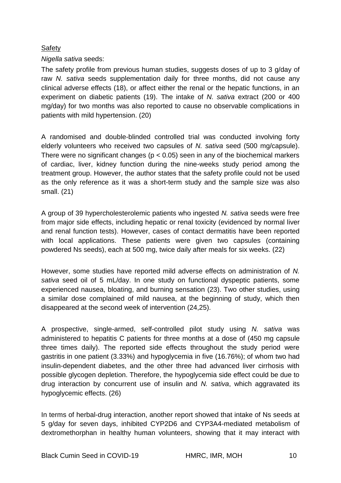#### <span id="page-9-0"></span>**Safety**

#### *Nigella sativa* seeds:

The safety profile from previous human studies, suggests doses of up to 3 g/day of raw *N. sativa* seeds supplementation daily for three months, did not cause any clinical adverse effects (18), or affect either the renal or the hepatic functions, in an experiment on diabetic patients (19). The intake of *N. sativa* extract (200 or 400 mg/day) for two months was also reported to cause no observable complications in patients with mild hypertension. (20)

A randomised and double-blinded controlled trial was conducted involving forty elderly volunteers who received two capsules of *N. sativa* seed (500 mg/capsule). There were no significant changes ( $p < 0.05$ ) seen in any of the biochemical markers of cardiac, liver, kidney function during the nine-weeks study period among the treatment group. However, the author states that the safety profile could not be used as the only reference as it was a short-term study and the sample size was also small. (21)

A group of 39 hypercholesterolemic patients who ingested *N. sativa* seeds were free from major side effects, including hepatic or renal toxicity (evidenced by normal liver and renal function tests). However, cases of contact dermatitis have been reported with local applications. These patients were given two capsules (containing powdered Ns seeds), each at 500 mg, twice daily after meals for six weeks. (22)

However, some studies have reported mild adverse effects on administration of *N. sativa* seed oil of 5 mL/day. In one study on functional dyspeptic patients, some experienced nausea, bloating, and burning sensation (23). Two other studies, using a similar dose complained of mild nausea, at the beginning of study, which then disappeared at the second week of intervention (24,25).

A prospective, single-armed, self-controlled pilot study using *N. sativa* was administered to hepatitis C patients for three months at a dose of (450 mg capsule three times daily). The reported side effects throughout the study period were gastritis in one patient (3.33%) and hypoglycemia in five (16.76%); of whom two had insulin-dependent diabetes, and the other three had advanced liver cirrhosis with possible glycogen depletion. Therefore, the hypoglycemia side effect could be due to drug interaction by concurrent use of insulin and *N. sativa*, which aggravated its hypoglycemic effects. (26)

In terms of herbal-drug interaction, another report showed that intake of Ns seeds at 5 g/day for seven days, inhibited CYP2D6 and CYP3A4-mediated metabolism of dextromethorphan in healthy human volunteers, showing that it may interact with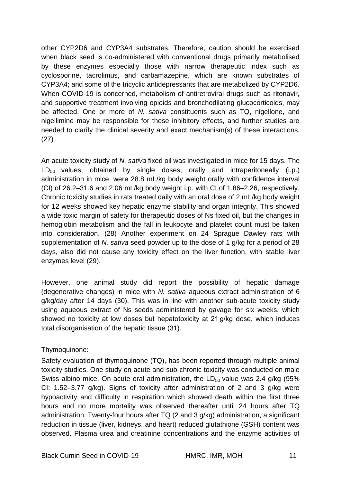other CYP2D6 and CYP3A4 substrates. Therefore, caution should be exercised when black seed is co-administered with conventional drugs primarily metabolised by these enzymes especially those with narrow therapeutic index such as cyclosporine, tacrolimus, and carbamazepine, which are known substrates of CYP3A4; and some of the tricyclic antidepressants that are metabolized by CYP2D6. When COVID-19 is concerned, metabolism of antiretroviral drugs such as ritonavir, and supportive treatment involving opioids and bronchodilating glucocorticoids, may be affected. One or more of *N. sativa* constituents such as TQ, nigellone, and nigellimine may be responsible for these inhibitory effects, and further studies are needed to clarify the clinical severity and exact mechanism(s) of these interactions. (27)

An acute toxicity study of *N. sativa* fixed oil was investigated in mice for 15 days. The  $LD_{50}$  values, obtained by single doses, orally and intraperitoneally (i.p.) administration in mice, were 28.8 mL/kg body weight orally with confidence interval (CI) of 26.2–31.6 and 2.06 mL/kg body weight i.p. with CI of 1.86–2.26, respectively. Chronic toxicity studies in rats treated daily with an oral dose of 2 mL/kg body weight for 12 weeks showed key hepatic enzyme stability and organ integrity. This showed a wide toxic margin of safety for therapeutic doses of Ns fixed oil, but the changes in hemoglobin metabolism and the fall in leukocyte and platelet count must be taken into consideration. (28) Another experiment on 24 Sprague Dawley rats with supplementation of *N. sativa* seed powder up to the dose of 1 g/kg for a period of 28 days, also did not cause any toxicity effect on the liver function, with stable liver enzymes level (29).

However, one animal study did report the possibility of hepatic damage (degenerative changes) in mice with *N. sativa* aqueous extract administration of 6 g/kg/day after 14 days (30). This was in line with another sub-acute toxicity study using aqueous extract of Ns seeds administered by gavage for six weeks, which showed no toxicity at low doses but hepatotoxicity at 21 g/kg dose, which induces total disorganisation of the hepatic tissue (31).

Thymoquinone:

Safety evaluation of thymoquinone (TQ), has been reported through multiple animal toxicity studies. One study on acute and sub-chronic toxicity was conducted on male Swiss albino mice. On acute oral administration, the  $LD_{50}$  value was 2.4 g/kg (95%) CI: 1.52–3.77  $q/ka$ ). Signs of toxicity after administration of 2 and 3  $q/ka$  were hypoactivity and difficulty in respiration which showed death within the first three hours and no more mortality was observed thereafter until 24 hours after TQ administration. Twenty-four hours after TQ (2 and 3 g/kg) administration, a significant reduction in tissue (liver, kidneys, and heart) reduced glutathione (GSH) content was observed. Plasma urea and creatinine concentrations and the enzyme activities of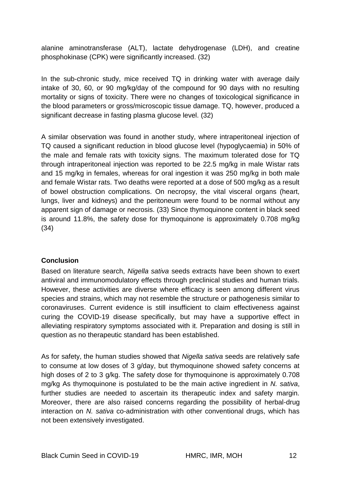alanine aminotransferase (ALT), lactate dehydrogenase (LDH), and creatine phosphokinase (CPK) were significantly increased. (32)

In the sub-chronic study, mice received TQ in drinking water with average daily intake of 30, 60, or 90 mg/kg/day of the compound for 90 days with no resulting mortality or signs of toxicity. There were no changes of toxicological significance in the blood parameters or gross/microscopic tissue damage. TQ, however, produced a significant decrease in fasting plasma glucose level. (32)

A similar observation was found in another study, where intraperitoneal injection of TQ caused a significant reduction in blood glucose level (hypoglycaemia) in 50% of the male and female rats with toxicity signs. The maximum tolerated dose for TQ through intraperitoneal injection was reported to be 22.5 mg/kg in male Wistar rats and 15 mg/kg in females, whereas for oral ingestion it was 250 mg/kg in both male and female Wistar rats. Two deaths were reported at a dose of 500 mg/kg as a result of bowel obstruction complications. On necropsy, the vital visceral organs (heart, lungs, liver and kidneys) and the peritoneum were found to be normal without any apparent sign of damage or necrosis. (33) Since thymoquinone content in black seed is around 11.8%, the safety dose for thymoquinone is approximately 0.708 mg/kg (34)

### <span id="page-11-0"></span>**Conclusion**

Based on literature search, *Nigella sativa* seeds extracts have been shown to exert antiviral and immunomodulatory effects through preclinical studies and human trials. However, these activities are diverse where efficacy is seen among different virus species and strains, which may not resemble the structure or pathogenesis similar to coronaviruses. Current evidence is still insufficient to claim effectiveness against curing the COVID-19 disease specifically, but may have a supportive effect in alleviating respiratory symptoms associated with it. Preparation and dosing is still in question as no therapeutic standard has been established.

As for safety, the human studies showed that *Nigella sativa* seeds are relatively safe to consume at low doses of 3 g/day, but thymoquinone showed safety concerns at high doses of 2 to 3 g/kg. The safety dose for thymoquinone is approximately 0.708 mg/kg As thymoquinone is postulated to be the main active ingredient in *N. sativa*, further studies are needed to ascertain its therapeutic index and safety margin. Moreover, there are also raised concerns regarding the possibility of herbal-drug interaction on *N. sativa* co-administration with other conventional drugs, which has not been extensively investigated.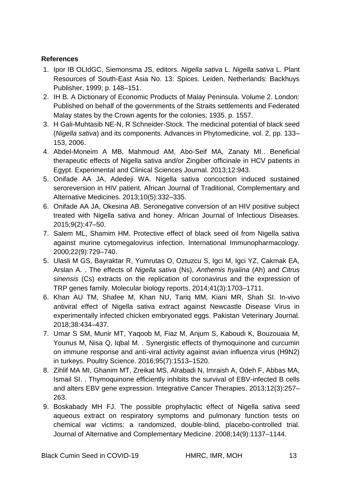### <span id="page-12-0"></span>**References**

- 1. Ipor IB OLIdGC, Siemonsma JS, editors. *Nigella sativa* L. *Nigella sativa* L. Plant Resources of South-East Asia No. 13: Spices. Leiden, Netherlands: Backhuys Publisher, 1999; p. 148–151.
- 2. IH B. A Dictionary of Economic Products of Malay Peninsula. Volume 2. London: Published on behalf of the governments of the Straits settlements and Federated Malay states by the Crown agents for the colonies; 1935. p. 1557.
- 3. H Gali-Muhtasib NE-N, R Schneider-Stock. The medicinal potential of black seed (*Nigella sativa*) and its components. Advances in Phytomedicine, vol. 2, pp. 133– 153, 2006.
- 4. Abdel-Moneim A MB, Mahmoud AM, Abo-Seif MA, Zanaty MI.. Beneficial therapeutic effects of Nigella sativa and/or Zingiber officinale in HCV patients in Egypt. Experimental and Clinical Sciences Journal. 2013;12:943.
- 5. Onifade AA JA, Adedeji WA. Nigella sativa concoction induced sustained seroreversion in HIV patient. African Journal of Traditional, Complementary and Alternative Medicines. 2013;10(5):332–335.
- 6. Onifade AA JA, Okesina AB. Seronegative conversion of an HIV positive subject treated with Nigella sativa and honey. African Journal of Infectious Diseases. 2015;9(2):47–50.
- 7. Salem ML, Shamim HM. Protective effect of black seed oil from Nigella sativa against murine cytomegalovirus infection. International Immunopharmacology. 2000;22(9):729–740.
- 5. Ulasli M GS, Bayraktar R, Yumrutas O, Oztuzcu S, Igci M, Igci YZ, Cakmak EA, Arslan A. . The effects of *Nigella sativa* (Ns), *Anthemis hyalina* (Ah) and *Citrus sinensis* (Cs) extracts on the replication of coronavirus and the expression of TRP genes family. Molecular biology reports. 2014;41(3):1703–1711.
- 6. Khan AU TM, Shafee M, Khan NU, Tariq MM, Kiani MR, Shah SI. In-vivo antiviral effect of Nigella sativa extract against Newcastle Disease Virus in experimentally infected chicken embryonated eggs. Pakistan Veterinary Journal. 2018;38:434–437.
- 7. Umar S SM, Munir MT, Yaqoob M, Fiaz M, Anjum S, Kaboudi K, Bouzouaia M, Younus M, Nisa Q, Iqbal M. . Synergistic effects of thymoquinone and curcumin on immune response and anti-viral activity against avian influenza virus (H9N2) in turkeys. Poultry Science. 2016;95(7):1513–1520.
- 8. Zihlif MA MI, Ghanim MT, Zreikat MS, Alrabadi N, Imraish A, Odeh F, Abbas MA, Ismail SI. . Thymoquinone efficiently inhibits the survival of EBV-infected B cells and alters EBV gene expression. Integrative Cancer Therapies. 2013;12(3):257– 263.
- 9. Boskabady MH FJ. The possible prophylactic effect of Nigella sativa seed aqueous extract on respiratory symptoms and pulmonary function tests on chemical war victims: a randomized, double-blind, placebo-controlled trial. Journal of Alternative and Complementary Medicine. 2008;14(9):1137–1144.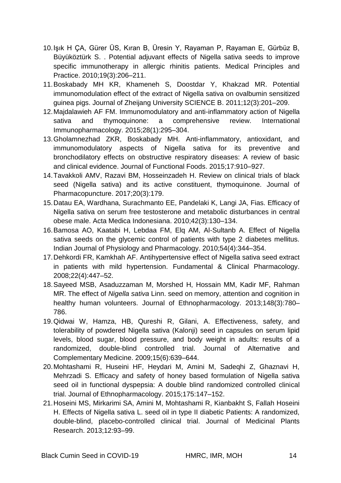- 10.Işık H ÇA, Gürer ÜS, Kıran B, Üresin Y, Rayaman P, Rayaman E, Gürbüz B, Büyüköztürk S. . Potential adjuvant effects of Nigella sativa seeds to improve specific immunotherapy in allergic rhinitis patients. Medical Principles and Practice. 2010;19(3):206–211.
- 11.Boskabady MH KR, Khameneh S, Doostdar Y, Khakzad MR. Potential immunomodulation effect of the extract of Nigella sativa on ovalbumin sensitized guinea pigs. Journal of Zheijang University SCIENCE B. 2011;12(3):201–209.
- 12.Majdalawieh AF FM. Immunomodulatory and anti-inflammatory action of Nigella sativa and thymoquinone: a comprehensive review. International Immunopharmacology. 2015;28(1):295–304.
- 13.Gholamnezhad ZKR, Boskabady MH. Anti-inflammatory, antioxidant, and immunomodulatory aspects of Nigella sativa for its preventive and bronchodilatory effects on obstructive respiratory diseases: A review of basic and clinical evidence. Journal of Functional Foods. 2015;17:910–927.
- 14.Tavakkoli AMV, Razavi BM, Hosseinzadeh H. Review on clinical trials of black seed (Nigella sativa) and its active constituent, thymoquinone. Journal of Pharmacopuncture. 2017;20(3):179.
- 15.Datau EA, Wardhana, Surachmanto EE, Pandelaki K, Langi JA, Fias. Efficacy of Nigella sativa on serum free testosterone and metabolic disturbances in central obese male. Acta Medica Indonesiana. 2010;42(3):130–134.
- 16.Bamosa AO, Kaatabi H, Lebdaa FM, Elq AM, Al-Sultanb A. Effect of Nigella sativa seeds on the glycemic control of patients with type 2 diabetes mellitus. Indian Journal of Physiology and Pharmacology. 2010;54(4):344–354.
- 17.Dehkordi FR, Kamkhah AF. Antihypertensive effect of Nigella sativa seed extract in patients with mild hypertension. Fundamental & Clinical Pharmacology. 2008;22(4):447–52.
- 18.Sayeed MSB, Asaduzzaman M, Morshed H, Hossain MM, Kadir MF, Rahman MR. The effect of *Nigella sativa* Linn. seed on memory, attention and cognition in healthy human volunteers. Journal of Ethnopharmacology. 2013;148(3):780– 786.
- 19.Qidwai W, Hamza, HB, Qureshi R, Gilani, A. Effectiveness, safety, and tolerability of powdered Nigella sativa (Kalonji) seed in capsules on serum lipid levels, blood sugar, blood pressure, and body weight in adults: results of a randomized, double-blind controlled trial. Journal of Alternative and Complementary Medicine. 2009;15(6):639–644.
- 20.Mohtashami R, Huseini HF, Heydari M, Amini M, Sadeqhi Z, Ghaznavi H, Mehrzadi S. Efficacy and safety of honey based formulation of Nigella sativa seed oil in functional dyspepsia: A double blind randomized controlled clinical trial. Journal of Ethnopharmacology. 2015;175:147–152.
- 21.Hoseini MS, Mirkarimi SA, Amini M, Mohtashami R, Kianbakht S, Fallah Hoseini H. Effects of Nigella sativa L. seed oil in type II diabetic Patients: A randomized, double-blind, placebo-controlled clinical trial. Journal of Medicinal Plants Research. 2013;12:93–99.